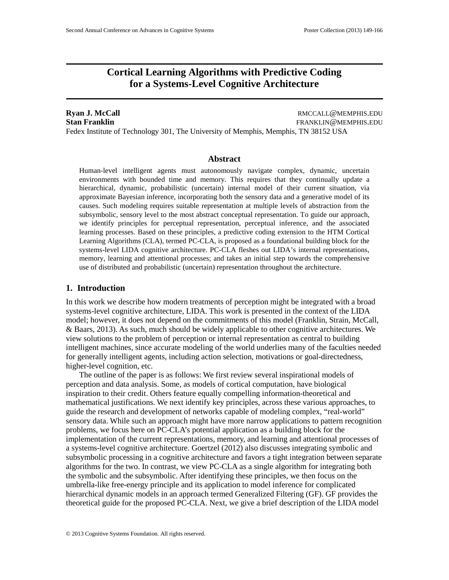# **Cortical Learning Algorithms with Predictive Coding for a Systems-Level Cognitive Architecture**

**Ryan J. McCall Report Figure 2.1 All 2.5 and 2.6 and 2.6 and 2.6 and 2.6 and 2.6 and 2.6 and 2.6 and 2.6 and 2.6 and 2.6 and 2.6 and 2.6 and 2.6 and 2.6 and 2.7 and 2.6 and 2.7 and 2.7 and 2.7 and 2.7 and 2.7 and 2.7 an Stan Franklin** FRANKLIN @MEMPHIS.EDU Fedex Institute of Technology 301, The University of Memphis, Memphis, TN 38152 USA

### **Abstract**

Human-level intelligent agents must autonomously navigate complex, dynamic, uncertain environments with bounded time and memory. This requires that they continually update a hierarchical, dynamic, probabilistic (uncertain) internal model of their current situation, via approximate Bayesian inference, incorporating both the sensory data and a generative model of its causes. Such modeling requires suitable representation at multiple levels of abstraction from the subsymbolic, sensory level to the most abstract conceptual representation. To guide our approach, we identify principles for perceptual representation, perceptual inference, and the associated learning processes. Based on these principles, a predictive coding extension to the HTM Cortical Learning Algorithms (CLA), termed PC-CLA, is proposed as a foundational building block for the systems-level LIDA cognitive architecture. PC-CLA fleshes out LIDA's internal representations, memory, learning and attentional processes; and takes an initial step towards the comprehensive use of distributed and probabilistic (uncertain) representation throughout the architecture.

### **1. Introduction**

In this work we describe how modern treatments of perception might be integrated with a broad systems-level cognitive architecture, LIDA. This work is presented in the context of the LIDA model; however, it does not depend on the commitments of this model (Franklin, Strain, McCall, & Baars, 2013). As such, much should be widely applicable to other cognitive architectures. We view solutions to the problem of perception or internal representation as central to building intelligent machines, since accurate modeling of the world underlies many of the faculties needed for generally intelligent agents, including action selection, motivations or goal-directedness, higher-level cognition, etc.

The outline of the paper is as follows: We first review several inspirational models of perception and data analysis. Some, as models of cortical computation, have biological inspiration to their credit. Others feature equally compelling information-theoretical and mathematical justifications. We next identify key principles, across these various approaches, to guide the research and development of networks capable of modeling complex, "real-world" sensory data. While such an approach might have more narrow applications to pattern recognition problems, we focus here on PC-CLA's potential application as a building block for the implementation of the current representations, memory, and learning and attentional processes of a systems-level cognitive architecture. Goertzel (2012) also discusses integrating symbolic and subsymbolic processing in a cognitive architecture and favors a tight integration between separate algorithms for the two. In contrast, we view PC-CLA as a single algorithm for integrating both the symbolic and the subsymbolic. After identifying these principles, we then focus on the umbrella-like free-energy principle and its application to model inference for complicated hierarchical dynamic models in an approach termed Generalized Filtering (GF). GF provides the theoretical guide for the proposed PC-CLA. Next, we give a brief description of the LIDA model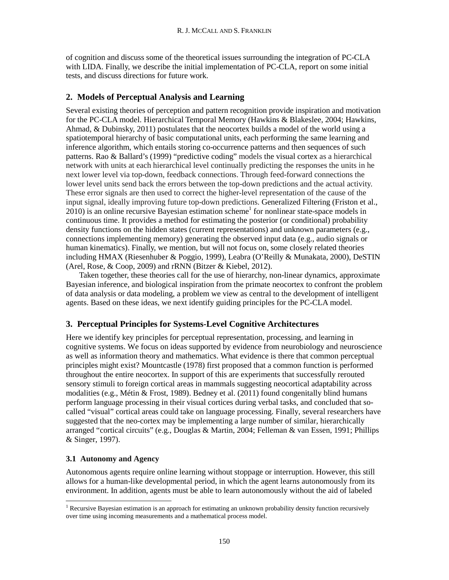of cognition and discuss some of the theoretical issues surrounding the integration of PC-CLA with LIDA. Finally, we describe the initial implementation of PC-CLA, report on some initial tests, and discuss directions for future work.

# **2. Models of Perceptual Analysis and Learning**

Several existing theories of perception and pattern recognition provide inspiration and motivation for the PC-CLA model. Hierarchical Temporal Memory (Hawkins & Blakeslee, 2004; Hawkins, Ahmad, & Dubinsky, 2011) postulates that the neocortex builds a model of the world using a spatiotemporal hierarchy of basic computational units, each performing the same learning and inference algorithm, which entails storing co-occurrence patterns and then sequences of such patterns. Rao & Ballard's (1999) "predictive coding" models the visual cortex as a hierarchical network with units at each hierarchical level continually predicting the responses the units in he next lower level via top-down, feedback connections. Through feed-forward connections the lower level units send back the errors between the top-down predictions and the actual activity. These error signals are then used to correct the higher-level representation of the cause of the input signal, ideally improving future top-down predictions. Generalized Filtering (Friston et al.,  $2010$ ) is an online recursive Bayesian estimation scheme<sup>1</sup> for nonlinear state-space models in continuous time. It provides a method for estimating the posterior (or conditional) probability density functions on the hidden states (current representations) and unknown parameters (e.g., connections implementing memory) generating the observed input data (e.g., audio signals or human kinematics). Finally, we mention, but will not focus on, some closely related theories including HMAX (Riesenhuber & Poggio, 1999), Leabra (O'Reilly & Munakata, 2000), DeSTIN (Arel, Rose, & Coop, 2009) and rRNN (Bitzer & Kiebel, 2012).

Taken together, these theories call for the use of hierarchy, non-linear dynamics, approximate Bayesian inference, and biological inspiration from the primate neocortex to confront the problem of data analysis or data modeling, a problem we view as central to the development of intelligent agents. Based on these ideas, we next identify guiding principles for the PC-CLA model.

# **3. Perceptual Principles for Systems-Level Cognitive Architectures**

Here we identify key principles for perceptual representation, processing, and learning in cognitive systems. We focus on ideas supported by evidence from neurobiology and neuroscience as well as information theory and mathematics. What evidence is there that common perceptual principles might exist? Mountcastle (1978) first proposed that a common function is performed throughout the entire neocortex. In support of this are experiments that successfully rerouted sensory stimuli to foreign cortical areas in mammals suggesting neocortical adaptability across modalities (e.g., Métin & Frost, 1989). Bedney et al. (2011) found congenitally blind humans perform language processing in their visual cortices during verbal tasks, and concluded that socalled "visual" cortical areas could take on language processing. Finally, several researchers have suggested that the neo-cortex may be implementing a large number of similar, hierarchically arranged "cortical circuits" (e.g., Douglas & Martin, 2004; Felleman & van Essen, 1991; Phillips & Singer, 1997).

# **3.1 Autonomy and Agency**

Autonomous agents require online learning without stoppage or interruption. However, this still allows for a human-like developmental period, in which the agent learns autonomously from its environment. In addition, agents must be able to learn autonomously without the aid of labeled

<sup>&</sup>lt;sup>1</sup> Recursive Bayesian estimation is an approach for estimating an unknown probability density function recursively over time using incoming measurements and a mathematical process model.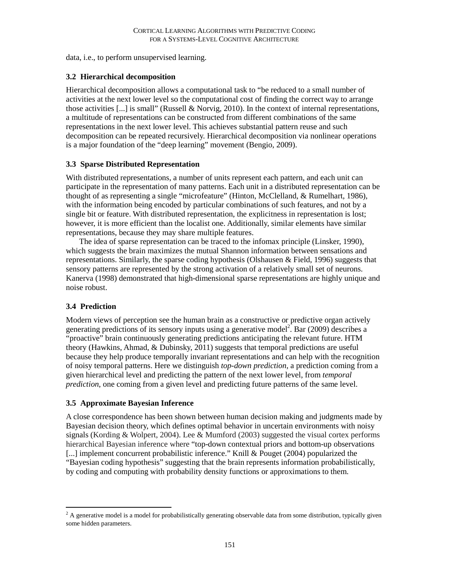data, i.e., to perform unsupervised learning.

## **3.2 Hierarchical decomposition**

Hierarchical decomposition allows a computational task to "be reduced to a small number of activities at the next lower level so the computational cost of finding the correct way to arrange those activities [...] is small" (Russell & Norvig, 2010). In the context of internal representations, a multitude of representations can be constructed from different combinations of the same representations in the next lower level. This achieves substantial pattern reuse and such decomposition can be repeated recursively. Hierarchical decomposition via nonlinear operations is a major foundation of the "deep learning" movement (Bengio, 2009).

## **3.3 Sparse Distributed Representation**

With distributed representations, a number of units represent each pattern, and each unit can participate in the representation of many patterns. Each unit in a distributed representation can be thought of as representing a single "microfeature" (Hinton, McClelland, & Rumelhart, 1986), with the information being encoded by particular combinations of such features, and not by a single bit or feature. With distributed representation, the explicitness in representation is lost; however, it is more efficient than the localist one. Additionally, similar elements have similar representations, because they may share multiple features.

The idea of sparse representation can be traced to the infomax principle (Linsker, 1990), which suggests the brain maximizes the mutual Shannon information between sensations and representations. Similarly, the sparse coding hypothesis (Olshausen & Field, 1996) suggests that sensory patterns are represented by the strong activation of a relatively small set of neurons. Kanerva (1998) demonstrated that high-dimensional sparse representations are highly unique and noise robust.

# **3.4 Prediction**

Modern views of perception see the human brain as a constructive or predictive organ actively generating predictions of its sensory inputs using a generative model<sup>2</sup>. Bar (2009) describes a "proactive" brain continuously generating predictions anticipating the relevant future. HTM theory (Hawkins, Ahmad, & Dubinsky, 2011) suggests that temporal predictions are useful because they help produce temporally invariant representations and can help with the recognition of noisy temporal patterns. Here we distinguish *top-down prediction*, a prediction coming from a given hierarchical level and predicting the pattern of the next lower level, from *temporal prediction*, one coming from a given level and predicting future patterns of the same level.

# **3.5 Approximate Bayesian Inference**

A close correspondence has been shown between human decision making and judgments made by Bayesian decision theory, which defines optimal behavior in uncertain environments with noisy signals (Kording & Wolpert, 2004). Lee & Mumford (2003) suggested the visual cortex performs hierarchical Bayesian inference where "top-down contextual priors and bottom-up observations [...] implement concurrent probabilistic inference." Knill & Pouget (2004) popularized the "Bayesian coding hypothesis" suggesting that the brain represents information probabilistically, by coding and computing with probability density functions or approximations to them.

 $2A$  generative model is a model for probabilistically generating observable data from some distribution, typically given some hidden parameters.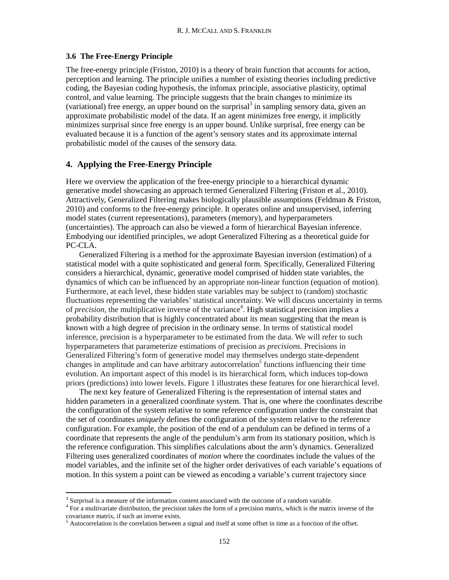## **3.6 The Free-Energy Principle**

The free-energy principle (Friston, 2010) is a theory of brain function that accounts for action, perception and learning. The principle unifies a number of existing theories including predictive coding, the Bayesian coding hypothesis, the infomax principle, associative plasticity, optimal control, and value learning. The principle suggests that the brain changes to minimize its (variational) free energy, an upper bound on the surprisal  $\delta$  in sampling sensory data, given an approximate probabilistic model of the data. If an agent minimizes free energy, it implicitly minimizes surprisal since free energy is an upper bound. Unlike surprisal, free energy can be evaluated because it is a function of the agent's sensory states and its approximate internal probabilistic model of the causes of the sensory data.

### **4. Applying the Free-Energy Principle**

Here we overview the application of the free-energy principle to a hierarchical dynamic generative model showcasing an approach termed Generalized Filtering (Friston et al., 2010). Attractively, Generalized Filtering makes biologically plausible assumptions (Feldman & Friston, 2010) and conforms to the free-energy principle. It operates online and unsupervised, inferring model states (current representations), parameters (memory), and hyperparameters (uncertainties). The approach can also be viewed a form of hierarchical Bayesian inference. Embodying our identified principles, we adopt Generalized Filtering as a theoretical guide for PC-CLA.

Generalized Filtering is a method for the approximate Bayesian inversion (estimation) of a statistical model with a quite sophisticated and general form. Specifically, Generalized Filtering considers a hierarchical, dynamic, generative model comprised of hidden state variables, the dynamics of which can be influenced by an appropriate non-linear function (equation of motion). Furthermore, at each level, these hidden state variables may be subject to (random) stochastic fluctuations representing the variables'statistical uncertainty. We will discuss uncertainty in terms of *precision*, the multiplicative inverse of the variance<sup>4</sup>. High statistical precision implies a probability distribution that is highly concentrated about its mean suggesting that the mean is known with a high degree of precision in the ordinary sense. In terms of statistical model inference, precision is a hyperparameter to be estimated from the data. We will refer to such hyperparameters that parameterize estimations of precision as *precisions*. Precisions in Generalized Filtering's form of generative model may themselves undergo state-dependent changes in amplitude and can have arbitrary autocorrelation<sup>5</sup> functions influencing their time evolution. An important aspect of this model is its hierarchical form, which induces top-down priors (predictions) into lower levels. Figure 1 illustrates these features for one hierarchical level.

The next key feature of Generalized Filtering is the representation of internal states and hidden parameters in a generalized coordinate system. That is, one where the coordinates describe the configuration of the system relative to some reference configuration under the constraint that the set of coordinates *uniquely* defines the configuration of the system relative to the reference configuration. For example, the position of the end of a pendulum can be defined in terms of a coordinate that represents the angle of the pendulum's arm from its stationary position, which is the reference configuration. This simplifies calculations about the arm's dynamics. Generalized Filtering uses generalized coordinates of *motion* where the coordinates include the values of the model variables, and the infinite set of the higher order derivatives of each variable's equations of motion. In this system a point can be viewed as encoding a variable's current trajectory since

<sup>&</sup>lt;sup>3</sup> Surprisal is a measure of the information content associated with the outcome of a random variable.  $4$  For a multivariate distribution, the precision takes the form of a precision matrix, which is the matrix inverse

 $5$  Autocorrelation is the correlation between a signal and itself at some offset in time as a function of the offset.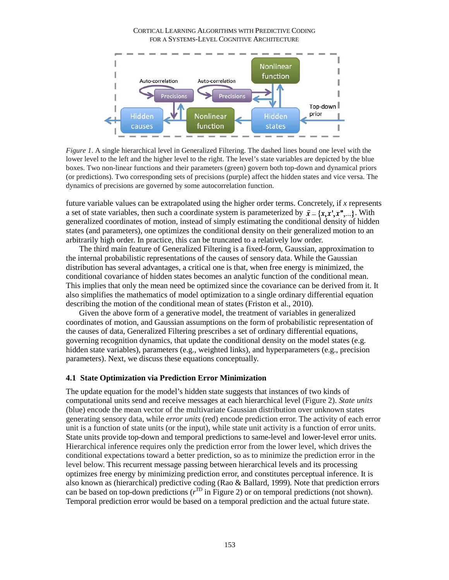

*Figure 1*. A single hierarchical level in Generalized Filtering. The dashed lines bound one level with the lower level to the left and the higher level to the right. The level's state variables are depicted by the blue boxes. Two non-linear functions and their parameters (green) govern both top-down and dynamical priors (or predictions). Two corresponding sets of precisions (purple) affect the hidden states and vice versa. The dynamics of precisions are governed by some autocorrelation function.

future variable values can be extrapolated using the higher order terms. Concretely, if *x* represents a set of state variables, then such a coordinate system is parameterized by  $\tilde{x} = \{x, x', x'', \dots\}$ . With generalized coordinates of motion, instead of simply estimating the conditional density of hidden states (and parameters), one optimizes the conditional density on their generalized motion to an arbitrarily high order. In practice, this can be truncated to a relatively low order.

The third main feature of Generalized Filtering is a fixed-form, Gaussian, approximation to the internal probabilistic representations of the causes of sensory data. While the Gaussian distribution has several advantages, a critical one is that, when free energy is minimized, the conditional covariance of hidden states becomes an analytic function of the conditional mean. This implies that only the mean need be optimized since the covariance can be derived from it. It also simplifies the mathematics of model optimization to a single ordinary differential equation describing the motion of the conditional mean of states (Friston et al., 2010).

Given the above form of a generative model, the treatment of variables in generalized coordinates of motion, and Gaussian assumptions on the form of probabilistic representation of the causes of data, Generalized Filtering prescribes a set of ordinary differential equations, governing recognition dynamics, that update the conditional density on the model states (e.g. hidden state variables), parameters (e.g., weighted links), and hyperparameters (e.g., precision parameters). Next, we discuss these equations conceptually.

### **4.1 State Optimization via Prediction Error Minimization**

The update equation for the model's hidden state suggests that instances of two kinds of computational units send and receive messages at each hierarchical level (Figure 2). *State units* (blue) encode the mean vector of the multivariate Gaussian distribution over unknown states generating sensory data, while *error units* (red) encode prediction error. The activity of each error unit is a function of state units (or the input), while state unit activity is a function of error units. State units provide top-down and temporal predictions to same-level and lower-level error units. Hierarchical inference requires only the prediction error from the lower level, which drives the conditional expectations toward a better prediction, so as to minimize the prediction error in the level below. This recurrent message passing between hierarchical levels and its processing optimizes free energy by minimizing prediction error, and constitutes perceptual inference. It is also known as (hierarchical) predictive coding (Rao & Ballard, 1999). Note that prediction errors can be based on top-down predictions  $(r^{T_D}$  in Figure 2) or on temporal predictions (not shown). Temporal prediction error would be based on a temporal prediction and the actual future state.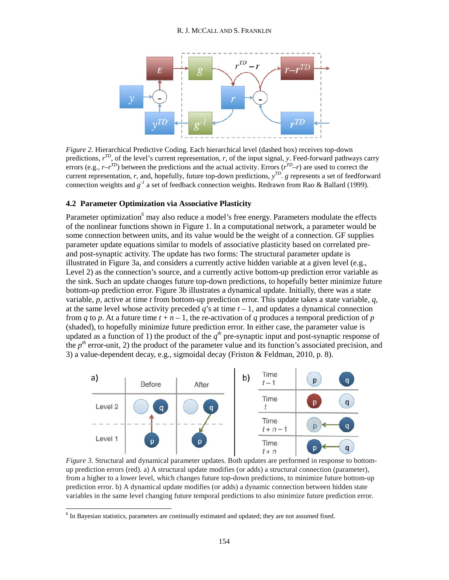

*Figure 2*. Hierarchical Predictive Coding. Each hierarchical level (dashed box) receives top-down predictions,  $r^{T_D}$ , of the level's current representation, r, of the input signal, y. Feed-forward pathways carry errors (e.g.,  $r-r^{T_D}$ ) between the predictions and the actual activity. Errors ( $r^{T_D}-r$ ) are used to correct the current representation, *r*, and, hopefully, future top-down predictions, *y TD*. *g* represents a set of feedforward connection weights and *g-1* a set of feedback connection weights. Redrawn from Rao & Ballard (1999).

### **4.2 Parameter Optimization via Associative Plasticity**

Parameter optimization<sup>6</sup> may also reduce a model's free energy. Parameters modulate the effects of the nonlinear functions shown in Figure 1. In a computational network, a parameter would be some connection between units, and its value would be the weight of a connection. GF supplies parameter update equations similar to models of associative plasticity based on correlated preand post-synaptic activity. The update has two forms: The structural parameter update is illustrated in Figure 3a, and considers a currently active hidden variable at a given level (e.g., Level 2) as the connection's source, and a currently active bottom-up prediction error variable as the sink. Such an update changes future top-down predictions, to hopefully better minimize future bottom-up prediction error. Figure 3b illustrates a dynamical update. Initially, there was a state variable, *p*, active at time *t* from bottom-up prediction error. This update takes a state variable, *q*, at the same level whose activity preceded  $q$ 's at time  $t-1$ , and updates a dynamical connection from *q* to *p*. At a future time  $t + n - 1$ , the re-activation of *q* produces a temporal prediction of *p* (shaded), to hopefully minimize future prediction error. In either case, the parameter value is updated as a function of 1) the product of the  $q^{th}$  pre-synaptic input and post-synaptic response of the  $p<sup>th</sup>$  error-unit, 2) the product of the parameter value and its function's associated precision, and 3) a value-dependent decay, e.g., sigmoidal decay (Friston & Feldman, 2010, p. 8).



*Figure 3*. Structural and dynamical parameter updates. Both updates are performed in response to bottomup prediction errors (red). a) A structural update modifies (or adds) a structural connection (parameter), from a higher to a lower level, which changes future top-down predictions, to minimize future bottom-up prediction error. b) A dynamical update modifies (or adds) a dynamic connection between hidden state variables in the same level changing future temporal predictions to also minimize future prediction error.

<sup>&</sup>lt;sup>6</sup> In Bayesian statistics, parameters are continually estimated and updated; they are not assumed fixed.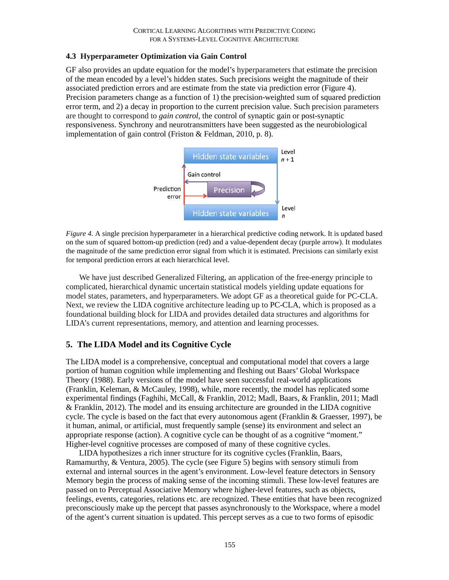# **4.3 Hyperparameter Optimization via Gain Control**

GF also provides an update equation for the model's hyperparameters that estimate the precision of the mean encoded by a level's hidden states. Such precisions weight the magnitude of their associated prediction errors and are estimate from the state via prediction error (Figure 4). Precision parameters change as a function of 1) the precision-weighted sum of squared prediction error term, and 2) a decay in proportion to the current precision value. Such precision parameters are thought to correspond to *gain control*, the control of synaptic gain or post-synaptic responsiveness. Synchrony and neurotransmitters have been suggested as the neurobiological implementation of gain control (Friston & Feldman, 2010, p. 8).



*Figure 4*. A single precision hyperparameter in a hierarchical predictive coding network. It is updated based on the sum of squared bottom-up prediction (red) and a value-dependent decay (purple arrow). It modulates the magnitude of the same prediction error signal from which it is estimated. Precisions can similarly exist for temporal prediction errors at each hierarchical level.

We have just described Generalized Filtering, an application of the free-energy principle to complicated, hierarchical dynamic uncertain statistical models yielding update equations for model states, parameters, and hyperparameters. We adopt GF as a theoretical guide for PC-CLA. Next, we review the LIDA cognitive architecture leading up to PC-CLA, which is proposed as a foundational building block for LIDA and provides detailed data structures and algorithms for LIDA's current representations, memory, and attention and learning processes.

# **5. The LIDA Model and its Cognitive Cycle**

The LIDA model is a comprehensive, conceptual and computational model that covers a large portion of human cognition while implementing and fleshing out Baars' Global Workspace Theory (1988). Early versions of the model have seen successful real-world applications (Franklin, Keleman, & McCauley, 1998), while, more recently, the model has replicated some experimental findings (Faghihi, McCall, & Franklin, 2012; Madl, Baars, & Franklin, 2011; Madl & Franklin, 2012). The model and its ensuing architecture are grounded in the LIDA cognitive cycle. The cycle is based on the fact that every autonomous agent (Franklin & Graesser, 1997), be it human, animal, or artificial, must frequently sample (sense) its environment and select an appropriate response (action). A cognitive cycle can be thought of as a cognitive "moment." Higher-level cognitive processes are composed of many of these cognitive cycles.

LIDA hypothesizes a rich inner structure for its cognitive cycles (Franklin, Baars, Ramamurthy, & Ventura, 2005). The cycle (see Figure 5) begins with sensory stimuli from external and internal sources in the agent's environment. Low-level feature detectors in Sensory Memory begin the process of making sense of the incoming stimuli. These low-level features are passed on to Perceptual Associative Memory where higher-level features, such as objects, feelings, events, categories, relations etc. are recognized. These entities that have been recognized preconsciously make up the percept that passes asynchronously to the Workspace, where a model of the agent's current situation is updated. This percept serves as a cue to two forms of episodic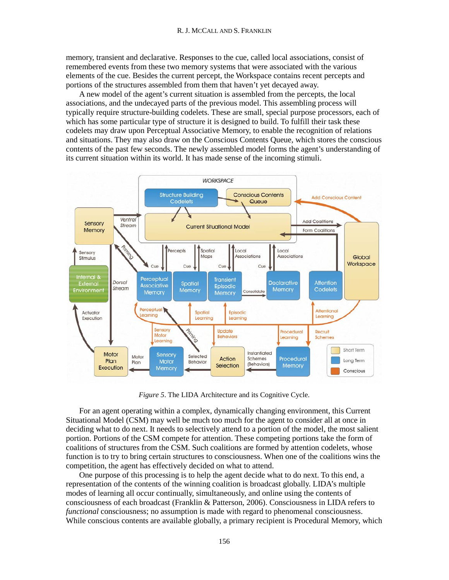memory, transient and declarative. Responses to the cue, called local associations, consist of remembered events from these two memory systems that were associated with the various elements of the cue. Besides the current percept, the Workspace contains recent percepts and portions of the structures assembled from them that haven't yet decayed away.

A new model of the agent's current situation is assembled from the percepts, the local associations, and the undecayed parts of the previous model. This assembling process will typically require structure-building codelets. These are small, special purpose processors, each of which has some particular type of structure it is designed to build. To fulfill their task these codelets may draw upon Perceptual Associative Memory, to enable the recognition of relations and situations. They may also draw on the Conscious Contents Queue, which stores the conscious contents of the past few seconds. The newly assembled model forms the agent's understanding of its current situation within its world. It has made sense of the incoming stimuli.



*Figure 5*. The LIDA Architecture and its Cognitive Cycle.

For an agent operating within a complex, dynamically changing environment, this Current Situational Model (CSM) may well be much too much for the agent to consider all at once in deciding what to do next. It needs to selectively attend to a portion of the model, the most salient portion. Portions of the CSM compete for attention. These competing portions take the form of coalitions of structures from the CSM. Such coalitions are formed by attention codelets, whose function is to try to bring certain structures to consciousness. When one of the coalitions wins the competition, the agent has effectively decided on what to attend.

One purpose of this processing is to help the agent decide what to do next. To this end, a representation of the contents of the winning coalition is broadcast globally. LIDA's multiple modes of learning all occur continually, simultaneously, and online using the contents of consciousness of each broadcast (Franklin & Patterson, 2006). Consciousness in LIDA refers to *functional* consciousness; no assumption is made with regard to phenomenal consciousness. While conscious contents are available globally, a primary recipient is Procedural Memory, which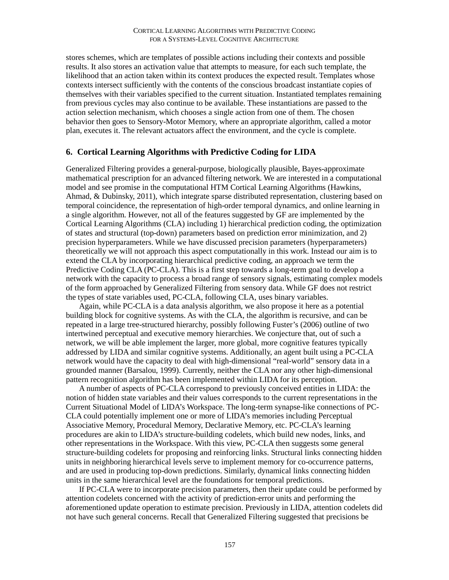stores schemes, which are templates of possible actions including their contexts and possible results. It also stores an activation value that attempts to measure, for each such template, the likelihood that an action taken within its context produces the expected result. Templates whose contexts intersect sufficiently with the contents of the conscious broadcast instantiate copies of themselves with their variables specified to the current situation. Instantiated templates remaining from previous cycles may also continue to be available. These instantiations are passed to the action selection mechanism, which chooses a single action from one of them. The chosen behavior then goes to Sensory-Motor Memory, where an appropriate algorithm, called a motor plan, executes it. The relevant actuators affect the environment, and the cycle is complete.

## **6. Cortical Learning Algorithms with Predictive Coding for LIDA**

Generalized Filtering provides a general-purpose, biologically plausible, Bayes-approximate mathematical prescription for an advanced filtering network. We are interested in a computational model and see promise in the computational HTM Cortical Learning Algorithms (Hawkins, Ahmad, & Dubinsky, 2011), which integrate sparse distributed representation, clustering based on temporal coincidence, the representation of high-order temporal dynamics, and online learning in a single algorithm. However, not all of the features suggested by GF are implemented by the Cortical Learning Algorithms (CLA) including 1) hierarchical prediction coding, the optimization of states and structural (top-down) parameters based on prediction error minimization, and 2) precision hyperparameters. While we have discussed precision parameters (hyperparameters) theoretically we will not approach this aspect computationally in this work. Instead our aim is to extend the CLA by incorporating hierarchical predictive coding, an approach we term the Predictive Coding CLA (PC-CLA). This is a first step towards a long-term goal to develop a network with the capacity to process a broad range of sensory signals, estimating complex models of the form approached by Generalized Filtering from sensory data. While GF does not restrict the types of state variables used, PC-CLA, following CLA, uses binary variables.

Again, while PC-CLA is a data analysis algorithm, we also propose it here as a potential building block for cognitive systems. As with the CLA, the algorithm is recursive, and can be repeated in a large tree-structured hierarchy, possibly following Fuster's (2006) outline of two intertwined perceptual and executive memory hierarchies. We conjecture that, out of such a network, we will be able implement the larger, more global, more cognitive features typically addressed by LIDA and similar cognitive systems. Additionally, an agent built using a PC-CLA network would have the capacity to deal with high-dimensional "real-world" sensory data in a grounded manner (Barsalou, 1999). Currently, neither the CLA nor any other high-dimensional pattern recognition algorithm has been implemented within LIDA for its perception.

A number of aspects of PC-CLA correspond to previously conceived entities in LIDA: the notion of hidden state variables and their values corresponds to the current representations in the Current Situational Model of LIDA's Workspace. The long-term synapse-like connections of PC-CLA could potentially implement one or more of LIDA's memories including Perceptual Associative Memory, Procedural Memory, Declarative Memory, etc. PC-CLA's learning procedures are akin to LIDA's structure-building codelets, which build new nodes, links, and other representations in the Workspace. With this view, PC-CLA then suggests some general structure-building codelets for proposing and reinforcing links. Structural links connecting hidden units in neighboring hierarchical levels serve to implement memory for co-occurrence patterns, and are used in producing top-down predictions. Similarly, dynamical links connecting hidden units in the same hierarchical level are the foundations for temporal predictions.

If PC-CLA were to incorporate precision parameters, then their update could be performed by attention codelets concerned with the activity of prediction-error units and performing the aforementioned update operation to estimate precision. Previously in LIDA, attention codelets did not have such general concerns. Recall that Generalized Filtering suggested that precisions be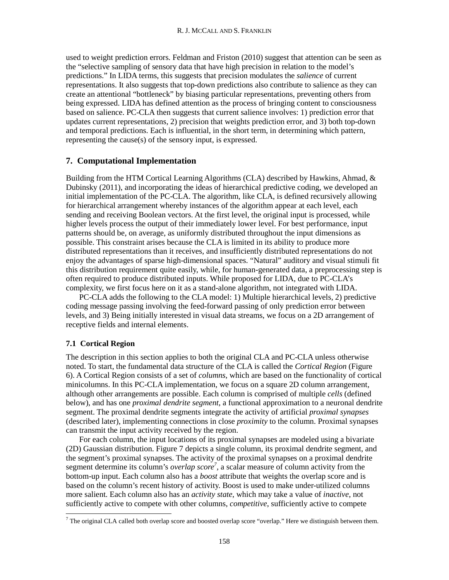used to weight prediction errors. Feldman and Friston (2010) suggest that attention can be seen as the "selective sampling of sensory data that have high precision in relation to the model's predictions." In LIDA terms, this suggests that precision modulates the *salience* of current representations. It also suggests that top-down predictions also contribute to salience as they can create an attentional "bottleneck" by biasing particular representations, preventing others from being expressed. LIDA has defined attention as the process of bringing content to consciousness based on salience. PC-CLA then suggests that current salience involves: 1) prediction error that updates current representations, 2) precision that weights prediction error, and 3) both top-down and temporal predictions. Each is influential, in the short term, in determining which pattern, representing the cause(s) of the sensory input, is expressed.

## **7. Computational Implementation**

Building from the HTM Cortical Learning Algorithms (CLA) described by Hawkins, Ahmad, & Dubinsky (2011), and incorporating the ideas of hierarchical predictive coding, we developed an initial implementation of the PC-CLA. The algorithm, like CLA, is defined recursively allowing for hierarchical arrangement whereby instances of the algorithm appear at each level, each sending and receiving Boolean vectors. At the first level, the original input is processed, while higher levels process the output of their immediately lower level. For best performance, input patterns should be, on average, as uniformly distributed throughout the input dimensions as possible. This constraint arises because the CLA is limited in its ability to produce more distributed representations than it receives, and insufficiently distributed representations do not enjoy the advantages of sparse high-dimensional spaces. "Natural" auditory and visual stimuli fit this distribution requirement quite easily, while, for human-generated data, a preprocessing step is often required to produce distributed inputs. While proposed for LIDA, due to PC-CLA's complexity, we first focus here on it as a stand-alone algorithm, not integrated with LIDA.

PC-CLA adds the following to the CLA model: 1) Multiple hierarchical levels, 2) predictive coding message passing involving the feed-forward passing of only prediction error between levels, and 3) Being initially interested in visual data streams, we focus on a 2D arrangement of receptive fields and internal elements.

## **7.1 Cortical Region**

The description in this section applies to both the original CLA and PC-CLA unless otherwise noted. To start, the fundamental data structure of the CLA is called the *Cortical Region* (Figure 6). A Cortical Region consists of a set of *columns*, which are based on the functionality of cortical minicolumns. In this PC-CLA implementation, we focus on a square 2D column arrangement, although other arrangements are possible. Each column is comprised of multiple *cells* (defined below), and has one *proximal dendrite segment*, a functional approximation to a neuronal dendrite segment. The proximal dendrite segments integrate the activity of artificial *proximal synapses* (described later), implementing connections in close *proximity* to the column. Proximal synapses can transmit the input activity received by the region.

For each column, the input locations of its proximal synapses are modeled using a bivariate (2D) Gaussian distribution. Figure 7 depicts a single column, its proximal dendrite segment, and the segment's proximal synapses. The activity of the proximal synapses on a proximal dendrite segment determine its column's *overlap score*<sup>7</sup>, a scalar measure of column activity from the bottom-up input. Each column also has a *boost* attribute that weights the overlap score and is based on the column's recent history of activity. Boost is used to make under-utilized columns more salient. Each column also has an *activity state*, which may take a value of *inactive*, not sufficiently active to compete with other columns, *competitive*, sufficiently active to compete

 $^7$  The original CLA called both overlap score and boosted overlap score "overlap." Here we distinguish between them.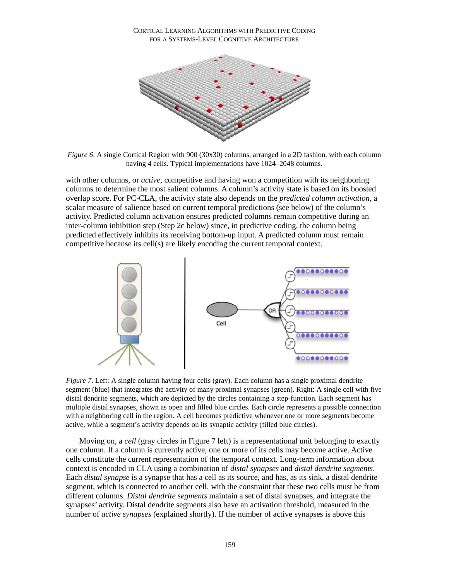#### CORTICAL LEARNING ALGORITHMS WITH PREDICTIVE CODING FOR A SYSTEMS-LEVEL COGNITIVE ARCHITECTURE



*Figure 6.* A single Cortical Region with 900 (30x30) columns, arranged in a 2D fashion, with each column having 4 cells. Typical implementations have 1024–2048 columns.

with other columns, or *active*, competitive and having won a competition with its neighboring columns to determine the most salient columns. A column's activity state is based on its boosted overlap score. For PC-CLA, the activity state also depends on the *predicted column activation*, a scalar measure of salience based on current temporal predictions (see below) of the column's activity. Predicted column activation ensures predicted columns remain competitive during an inter-column inhibition step (Step 2c below) since, in predictive coding, the column being predicted effectively inhibits its receiving bottom-up input. A predicted column must remain competitive because its cell(s) are likely encoding the current temporal context.



*Figure* 7. Left: A single column having four cells (gray). Each column has a single proximal dendrite segment (blue) that integrates the activity of many proximal synapses (green). Right: A single cell with five distal dendrite segments, which are depicted by the circles containing a step-function. Each segment has multiple distal synapses, shown as open and filled blue circles. Each circle represents a possible connection with a neighboring cell in the region. A cell becomes predictive whenever one or more segments become active, while a segment's activity depends on its synaptic activity (filled blue circles).

Moving on, a *cell* (gray circles in Figure 7 left) is a representational unit belonging to exactly one column. If a column is currently active, one or more of its cells may become active. Active cells constitute the current representation of the temporal context. Long-term information about context is encoded in CLA using a combination of *distal synapses* and *distal dendrite segments*. Each *distal synapse* is a synapse that has a cell as its source, and has, as its sink, a distal dendrite segment, which is connected to another cell, with the constraint that these two cells must be from different columns. *Distal dendrite segments* maintain a set of distal synapses, and integrate the synapses' activity. Distal dendrite segments also have an activation threshold, measured in the number of *active synapses* (explained shortly). If the number of active synapses is above this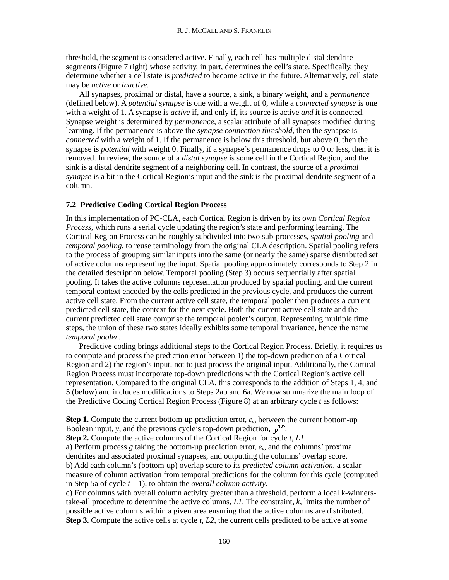threshold, the segment is considered active. Finally, each cell has multiple distal dendrite segments (Figure 7 right) whose activity, in part, determines the cell's state. Specifically, they determine whether a cell state is *predicted* to become active in the future. Alternatively, cell state may be *active* or *inactive.*

All synapses, proximal or distal, have a source, a sink, a binary weight, and a *permanence* (defined below). A *potential synapse* is one with a weight of 0, while a *connected synapse* is one with a weight of 1. A synapse is *active* if, and only if, its source is active *and* it is connected. Synapse weight is determined by *permanence*, a scalar attribute of all synapses modified during learning. If the permanence is above the *synapse connection threshold*, then the synapse is *connected* with a weight of 1. If the permanence is below this threshold, but above 0, then the synapse is *potential* with weight 0. Finally, if a synapse's permanence drops to 0 or less, then it is removed. In review, the source of a *distal synapse* is some cell in the Cortical Region, and the sink is a distal dendrite segment of a neighboring cell. In contrast, the source of a *proximal synapse* is a bit in the Cortical Region's input and the sink is the proximal dendrite segment of a column.

## **7.2 Predictive Coding Cortical Region Process**

In this implementation of PC-CLA, each Cortical Region is driven by its own *Cortical Region Process*, which runs a serial cycle updating the region's state and performing learning. The Cortical Region Process can be roughly subdivided into two sub-processes, *spatial pooling* and *temporal pooling*, to reuse terminology from the original CLA description. Spatial pooling refers to the process of grouping similar inputs into the same (or nearly the same) sparse distributed set of active columns representing the input. Spatial pooling approximately corresponds to Step 2 in the detailed description below. Temporal pooling (Step 3) occurs sequentially after spatial pooling. It takes the active columns representation produced by spatial pooling, and the current temporal context encoded by the cells predicted in the previous cycle, and produces the current active cell state. From the current active cell state, the temporal pooler then produces a current predicted cell state, the context for the next cycle. Both the current active cell state and the current predicted cell state comprise the temporal pooler's output. Representing multiple time steps, the union of these two states ideally exhibits some temporal invariance, hence the name *temporal pooler*.

Predictive coding brings additional steps to the Cortical Region Process. Briefly, it requires us to compute and process the prediction error between 1) the top-down prediction of a Cortical Region and 2) the region's input, not to just process the original input. Additionally, the Cortical Region Process must incorporate top-down predictions with the Cortical Region's active cell representation. Compared to the original CLA, this corresponds to the addition of Steps 1, 4, and 5 (below) and includes modifications to Steps 2ab and 6a. We now summarize the main loop of the Predictive Coding Cortical Region Process (Figure 8) at an arbitrary cycle *t* as follows:

**Step 1.** Compute the current bottom-up prediction error,  $\varepsilon_v$ , between the current bottom-up Boolean input, *y*, and the previous cycle's top-down prediction,  $v^{TD}$ .

**Step 2.** Compute the active columns of the Cortical Region for cycle *t*, *L1*.

a) Perform process *g* taking the bottom-up prediction error, *εv*, and the columns' proximal dendrites and associated proximal synapses, and outputting the columns' overlap score. b) Add each column's (bottom-up) overlap score to its *predicted column activation*, a scalar measure of column activation from temporal predictions for the column for this cycle (computed in Step 5a of cycle *t –* 1), to obtain the *overall column activity*.

c) For columns with overall column activity greater than a threshold, perform a local k-winnerstake-all procedure to determine the active columns, *L1*. The constraint, *k*, limits the number of possible active columns within a given area ensuring that the active columns are distributed. **Step 3.** Compute the active cells at cycle *t*, *L2*, the current cells predicted to be active at *some*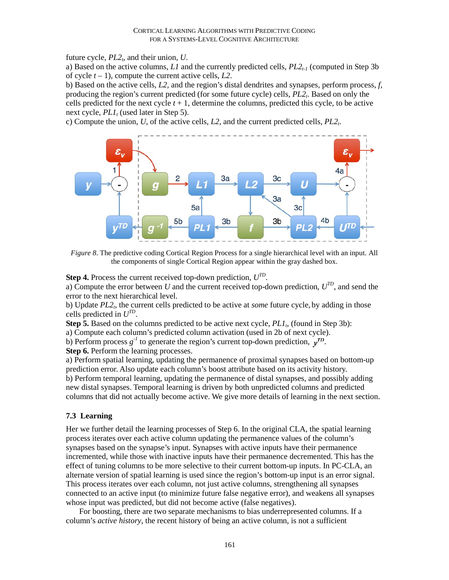future cycle,  $PL2<sub>t</sub>$ , and their union, *U*.

a) Based on the active columns,  $LI$  and the currently predicted cells,  $PL2_{t-1}$  (computed in Step 3b) of cycle *t –* 1), compute the current active cells, *L2*.

b) Based on the active cells, *L2*, and the region's distal dendrites and synapses, perform process, *f*, producing the region's current predicted (for some future cycle) cells, *PL2<sub>t</sub>*. Based on only the cells predicted for the next cycle  $t + 1$ , determine the columns, predicted this cycle, to be active next cycle,  $PL1_t$  (used later in Step 5).

c) Compute the union,  $U$ , of the active cells,  $L2$ , and the current predicted cells,  $PL2$ .



*Figure 8*. The predictive coding Cortical Region Process for a single hierarchical level with an input. All the components of single Cortical Region appear within the gray dashed box.

**Step 4.** Process the current received top-down prediction, *UTD*.

a) Compute the error between *U* and the current received top-down prediction, *UTD*, and send the error to the next hierarchical level.

b) Update *PL2<sub>t</sub>*, the current cells predicted to be active at *some* future cycle, by adding in those cells predicted in *UTD*.

**Step 5.** Based on the columns predicted to be active next cycle,  $PL1<sub>t</sub>$ , (found in Step 3b):

a) Compute each column's predicted column activation (used in 2b of next cycle).

b) Perform process  $g^{-1}$  to generate the region's current top-down prediction,  $v^{TD}$ . **Step 6.** Perform the learning processes.

a) Perform spatial learning, updating the permanence of proximal synapses based on bottom-up prediction error. Also update each column's boost attribute based on its activity history. b) Perform temporal learning, updating the permanence of distal synapses, and possibly adding new distal synapses. Temporal learning is driven by both unpredicted columns and predicted

columns that did not actually become active. We give more details of learning in the next section.

### **7.3 Learning**

Her we further detail the learning processes of Step 6. In the original CLA, the spatial learning process iterates over each active column updating the permanence values of the column's synapses based on the synapse's input. Synapses with active inputs have their permanence incremented, while those with inactive inputs have their permanence decremented. This has the effect of tuning columns to be more selective to their current bottom-up inputs. In PC-CLA, an alternate version of spatial learning is used since the region's bottom-up input is an error signal. This process iterates over each column, not just active columns, strengthening all synapses connected to an active input (to minimize future false negative error), and weakens all synapses whose input was predicted, but did not become active (false negatives).

For boosting, there are two separate mechanisms to bias underrepresented columns. If a column's *active history*, the recent history of being an active column, is not a sufficient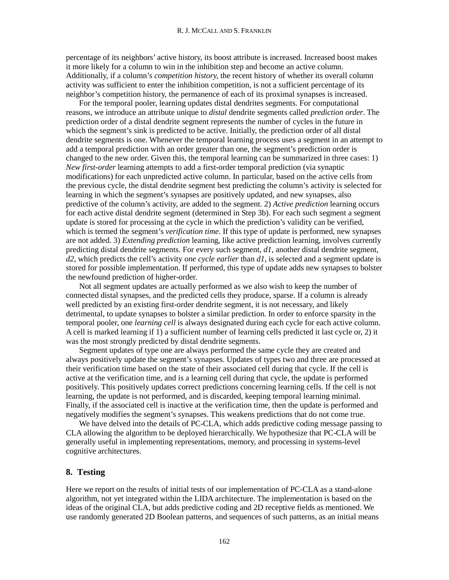#### R. J. MCCALL AND S. FRANKLIN

percentage of its neighbors' active history, its boost attribute is increased. Increased boost makes it more likely for a column to win in the inhibition step and become an active column. Additionally, if a column's *competition history,* the recent history of whether its overall column activity was sufficient to enter the inhibition competition, is not a sufficient percentage of its neighbor's competition history, the permanence of each of its proximal synapses is increased.

For the temporal pooler, learning updates distal dendrites segments. For computational reasons, we introduce an attribute unique to *distal* dendrite segments called *prediction order*. The prediction order of a distal dendrite segment represents the number of cycles in the future in which the segment's sink is predicted to be active. Initially, the prediction order of all distal dendrite segments is one. Whenever the temporal learning process uses a segment in an attempt to add a temporal prediction with an order greater than one, the segment's prediction order is changed to the new order. Given this, the temporal learning can be summarized in three cases: 1) *New first-order* learning attempts to add a first-order temporal prediction (via synaptic modifications) for each unpredicted active column. In particular, based on the active cells from the previous cycle, the distal dendrite segment best predicting the column's activity is selected for learning in which the segment's synapses are positively updated, and new synapses, also predictive of the column's activity, are added to the segment. 2) *Active prediction* learning occurs for each active distal dendrite segment (determined in Step 3b). For each such segment a segment update is stored for processing at the cycle in which the prediction's validity can be verified, which is termed the segment's *verification time*. If this type of update is performed, new synapses are not added. 3) *Extending prediction* learning, like active prediction learning, involves currently predicting distal dendrite segments. For every such segment, *d1*, another distal dendrite segment, *d2*, which predicts the cell's activity *one cycle earlier* than *d1*, is selected and a segment update is stored for possible implementation. If performed, this type of update adds new synapses to bolster the newfound prediction of higher-order.

Not all segment updates are actually performed as we also wish to keep the number of connected distal synapses, and the predicted cells they produce, sparse. If a column is already well predicted by an existing first-order dendrite segment, it is not necessary, and likely detrimental, to update synapses to bolster a similar prediction. In order to enforce sparsity in the temporal pooler, one *learning cell* is always designated during each cycle for each active column. A cell is marked learning if 1) a sufficient number of learning cells predicted it last cycle or, 2) it was the most strongly predicted by distal dendrite segments.

Segment updates of type one are always performed the same cycle they are created and always positively update the segment's synapses. Updates of types two and three are processed at their verification time based on the state of their associated cell during that cycle. If the cell is active at the verification time, and is a learning cell during that cycle, the update is performed positively. This positively updates correct predictions concerning learning cells. If the cell is not learning, the update is not performed, and is discarded, keeping temporal learning minimal. Finally, if the associated cell is inactive at the verification time, then the update is performed and negatively modifies the segment's synapses. This weakens predictions that do not come true.

We have delved into the details of PC-CLA, which adds predictive coding message passing to CLA allowing the algorithm to be deployed hierarchically. We hypothesize that PC-CLA will be generally useful in implementing representations, memory, and processing in systems-level cognitive architectures.

### **8. Testing**

Here we report on the results of initial tests of our implementation of PC-CLA as a stand-alone algorithm, not yet integrated within the LIDA architecture. The implementation is based on the ideas of the original CLA, but adds predictive coding and 2D receptive fields as mentioned. We use randomly generated 2D Boolean patterns, and sequences of such patterns, as an initial means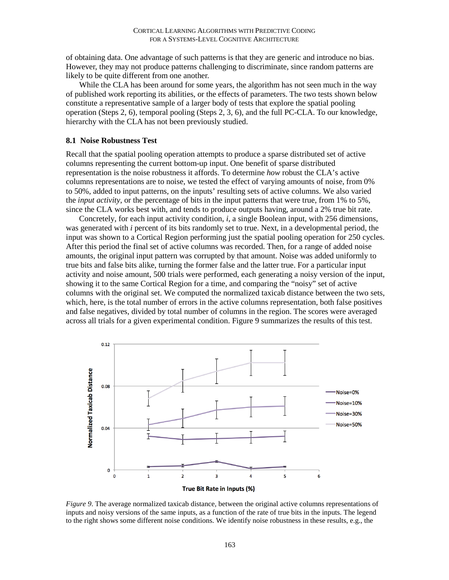of obtaining data. One advantage of such patterns is that they are generic and introduce no bias. However, they may not produce patterns challenging to discriminate, since random patterns are likely to be quite different from one another.

While the CLA has been around for some years, the algorithm has not seen much in the way of published work reporting its abilities, or the effects of parameters. The two tests shown below constitute a representative sample of a larger body of tests that explore the spatial pooling operation (Steps 2, 6), temporal pooling (Steps 2, 3, 6), and the full PC-CLA. To our knowledge, hierarchy with the CLA has not been previously studied.

### **8.1 Noise Robustness Test**

Recall that the spatial pooling operation attempts to produce a sparse distributed set of active columns representing the current bottom-up input. One benefit of sparse distributed representation is the noise robustness it affords. To determine *how* robust the CLA's active columns representations are to noise, we tested the effect of varying amounts of noise, from 0% to 50%, added to input patterns, on the inputs' resulting sets of active columns. We also varied the *input activity*, or the percentage of bits in the input patterns that were true, from 1% to 5%, since the CLA works best with, and tends to produce outputs having, around a 2% true bit rate.

Concretely, for each input activity condition, *i*, a single Boolean input, with 256 dimensions, was generated with *i* percent of its bits randomly set to true. Next, in a developmental period, the input was shown to a Cortical Region performing just the spatial pooling operation for 250 cycles. After this period the final set of active columns was recorded. Then, for a range of added noise amounts, the original input pattern was corrupted by that amount. Noise was added uniformly to true bits and false bits alike, turning the former false and the latter true. For a particular input activity and noise amount, 500 trials were performed, each generating a noisy version of the input, showing it to the same Cortical Region for a time, and comparing the "noisy" set of active columns with the original set. We computed the normalized taxicab distance between the two sets, which, here, is the total number of errors in the active columns representation, both false positives and false negatives, divided by total number of columns in the region. The scores were averaged across all trials for a given experimental condition. Figure 9 summarizes the results of this test.



*Figure 9*. The average normalized taxicab distance, between the original active columns representations of inputs and noisy versions of the same inputs, as a function of the rate of true bits in the inputs. The legend to the right shows some different noise conditions. We identify noise robustness in these results, e.g., the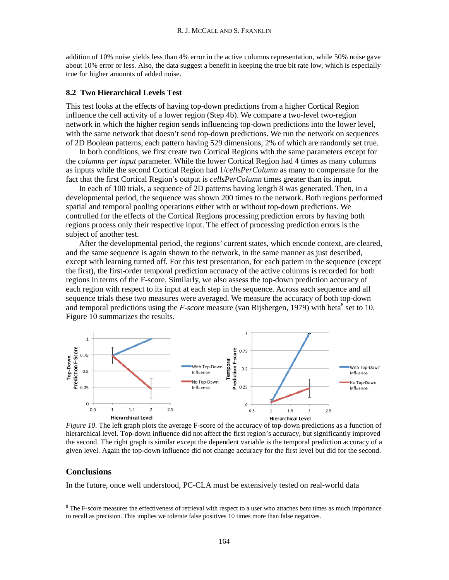addition of 10% noise yields less than 4% error in the active columns representation, while 50% noise gave about 10% error or less. Also, the data suggest a benefit in keeping the true bit rate low, which is especially true for higher amounts of added noise.

### **8.2 Two Hierarchical Levels Test**

This test looks at the effects of having top-down predictions from a higher Cortical Region influence the cell activity of a lower region (Step 4b). We compare a two-level two-region network in which the higher region sends influencing top-down predictions into the lower level, with the same network that doesn't send top-down predictions. We run the network on sequences of 2D Boolean patterns, each pattern having 529 dimensions, 2% of which are randomly set true.

In both conditions, we first create two Cortical Regions with the same parameters except for the *columns per input* parameter. While the lower Cortical Region had 4 times as many columns as inputs while the second Cortical Region had 1/*cellsPerColumn* as many to compensate for the fact that the first Cortical Region's output is *cellsPerColumn* times greater than its input.

In each of 100 trials, a sequence of 2D patterns having length 8 was generated. Then, in a developmental period, the sequence was shown 200 times to the network. Both regions performed spatial and temporal pooling operations either with or without top-down predictions. We controlled for the effects of the Cortical Regions processing prediction errors by having both regions process only their respective input. The effect of processing prediction errors is the subject of another test.

After the developmental period, the regions' current states, which encode context, are cleared, and the same sequence is again shown to the network, in the same manner as just described, except with learning turned off. For this test presentation, for each pattern in the sequence (except the first), the first-order temporal prediction accuracy of the active columns is recorded for both regions in terms of the F-score. Similarly, we also assess the top-down prediction accuracy of each region with respect to its input at each step in the sequence. Across each sequence and all sequence trials these two measures were averaged. We measure the accuracy of both top-down and temporal predictions using the  $F-score$  measure (van Rijsbergen, 1979) with beta<sup>8</sup> set to 10. Figure 10 summarizes the results.



*Figure 10*. The left graph plots the average F-score of the accuracy of top-down predictions as a function of hierarchical level. Top-down influence did not affect the first region's accuracy, but significantly improved the second. The right graph is similar except the dependent variable is the temporal prediction accuracy of a given level. Again the top-down influence did not change accuracy for the first level but did for the second.

### **Conclusions**

In the future, once well understood, PC-CLA must be extensively tested on real-world data

 <sup>8</sup> The F-score measures the effectiveness of retrieval with respect to a user who attaches *beta* times as much importance to recall as precision. This implies we tolerate false positives 10 times more than false negatives.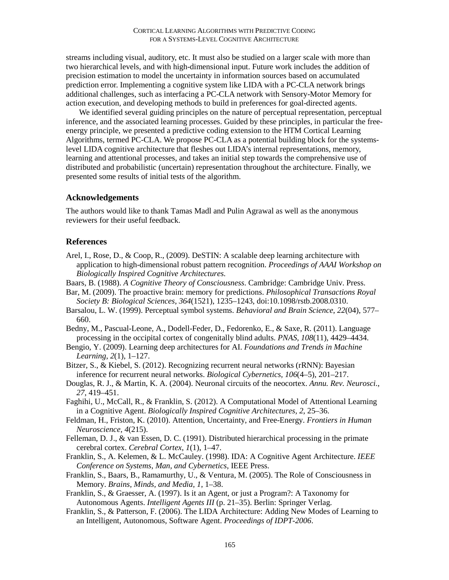streams including visual, auditory, etc. It must also be studied on a larger scale with more than two hierarchical levels, and with high-dimensional input. Future work includes the addition of precision estimation to model the uncertainty in information sources based on accumulated prediction error. Implementing a cognitive system like LIDA with a PC-CLA network brings additional challenges, such as interfacing a PC-CLA network with Sensory-Motor Memory for action execution, and developing methods to build in preferences for goal-directed agents.

We identified several guiding principles on the nature of perceptual representation, perceptual inference, and the associated learning processes. Guided by these principles, in particular the freeenergy principle, we presented a predictive coding extension to the HTM Cortical Learning Algorithms, termed PC-CLA. We propose PC-CLA as a potential building block for the systemslevel LIDA cognitive architecture that fleshes out LIDA's internal representations, memory, learning and attentional processes, and takes an initial step towards the comprehensive use of distributed and probabilistic (uncertain) representation throughout the architecture. Finally, we presented some results of initial tests of the algorithm.

## **Acknowledgements**

The authors would like to thank Tamas Madl and Pulin Agrawal as well as the anonymous reviewers for their useful feedback.

# **References**

- Arel, I., Rose, D., & Coop, R., (2009). DeSTIN: A scalable deep learning architecture with application to high-dimensional robust pattern recognition. *Proceedings of AAAI Workshop on Biologically Inspired Cognitive Architectures*.
- Baars, B. (1988). *A Cognitive Theory of Consciousness*. Cambridge: Cambridge Univ. Press.
- Bar, M. (2009). The proactive brain: memory for predictions. *Philosophical Transactions Royal Society B: Biological Sciences*, *364*(1521), 1235–1243, doi:10.1098/rstb.2008.0310.
- Barsalou, L. W. (1999). Perceptual symbol systems. *Behavioral and Brain Science*, *22*(04), 577– 660.
- Bedny, M., Pascual-Leone, A., Dodell-Feder, D., Fedorenko, E., & Saxe, R. (2011). Language processing in the occipital cortex of congenitally blind adults. *PNAS, 108*(11), 4429–4434.
- Bengio, Y. (2009). Learning deep architectures for AI. *Foundations and Trends in Machine Learning*, *2*(1), 1–127.
- Bitzer, S., & Kiebel, S. (2012). Recognizing recurrent neural networks (rRNN): Bayesian inference for recurrent neural networks. *Biological Cybernetics, 106*(4–5), 201–217.
- Douglas, R. J., & Martin, K. A. (2004). Neuronal circuits of the neocortex. *Annu. Rev. Neurosci.*, *27*, 419–451.
- Faghihi, U., McCall, R., & Franklin, S. (2012). A Computational Model of Attentional Learning in a Cognitive Agent. *Biologically Inspired Cognitive Architectures, 2*, 25–36.
- Feldman, H., Friston, K. (2010). Attention, Uncertainty, and Free-Energy. *Frontiers in Human Neuroscience, 4*(215).
- Felleman, D. J., & van Essen, D. C. (1991). Distributed hierarchical processing in the primate cerebral cortex. *Cerebral Cortex*, *1*(1), 1–47.
- Franklin, S., A. Kelemen, & L. McCauley. (1998). IDA: A Cognitive Agent Architecture. *IEEE Conference on Systems, Man, and Cybernetics*, IEEE Press.
- Franklin, S., Baars, B., Ramamurthy, U., & Ventura, M. (2005). The Role of Consciousness in Memory. *Brains, Minds, and Media, 1*, 1–38.
- Franklin, S., & Graesser, A. (1997). Is it an Agent, or just a Program?: A Taxonomy for Autonomous Agents. *Intelligent Agents III* (p. 21–35). Berlin: Springer Verlag.
- Franklin, S., & Patterson, F. (2006). The LIDA Architecture: Adding New Modes of Learning to an Intelligent, Autonomous, Software Agent. *Proceedings of IDPT-2006*.